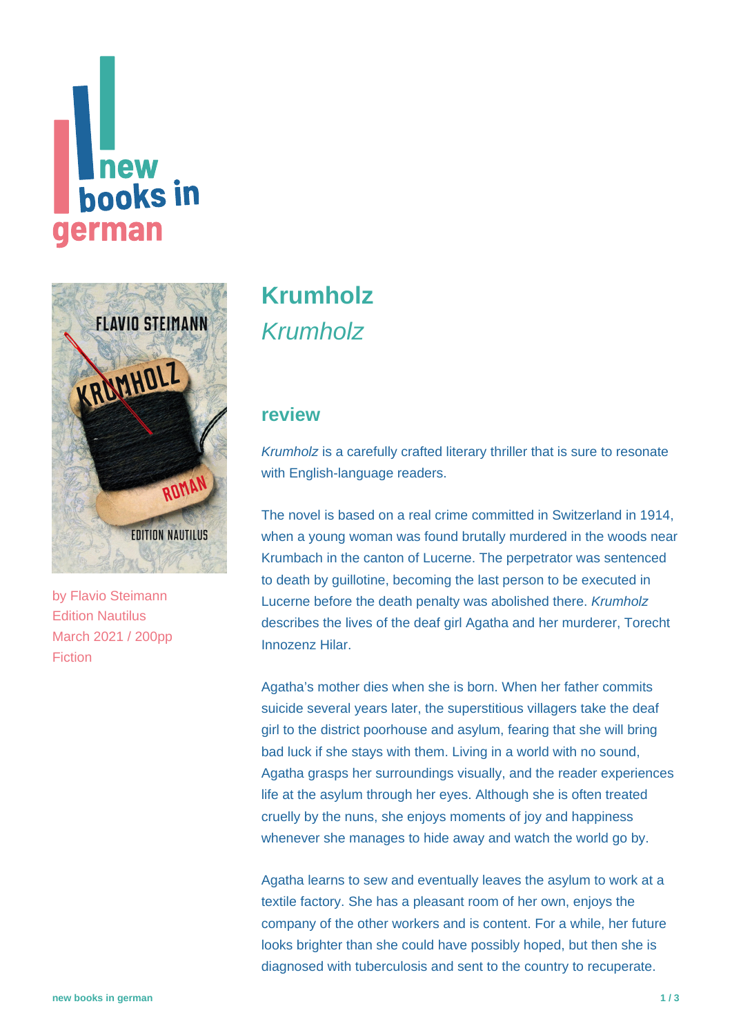# **Thew<br>books in german**



by [Flavio Steimann](https://www.new-books-in-german.com/recommendations/?searchInput=Flavio%20Steimann%20) Edition Nautilus March 2021 / 200pp Fiction

## **[Krumholz](https://www.new-books-in-german.com/recommendations/krumholz/)** Krumholz

#### **review**

Krumholz is a carefully crafted literary thriller that is sure to resonate with English-language readers.

The novel is based on a real crime committed in Switzerland in 1914, when a young woman was found brutally murdered in the woods near Krumbach in the canton of Lucerne. The perpetrator was sentenced to death by guillotine, becoming the last person to be executed in Lucerne before the death penalty was abolished there. Krumholz describes the lives of the deaf girl Agatha and her murderer, Torecht Innozenz Hilar.

Agatha's mother dies when she is born. When her father commits suicide several years later, the superstitious villagers take the deaf girl to the district poorhouse and asylum, fearing that she will bring bad luck if she stays with them. Living in a world with no sound, Agatha grasps her surroundings visually, and the reader experiences life at the asylum through her eyes. Although she is often treated cruelly by the nuns, she enjoys moments of joy and happiness whenever she manages to hide away and watch the world go by.

Agatha learns to sew and eventually leaves the asylum to work at a textile factory. She has a pleasant room of her own, enjoys the company of the other workers and is content. For a while, her future looks brighter than she could have possibly hoped, but then she is diagnosed with tuberculosis and sent to the country to recuperate.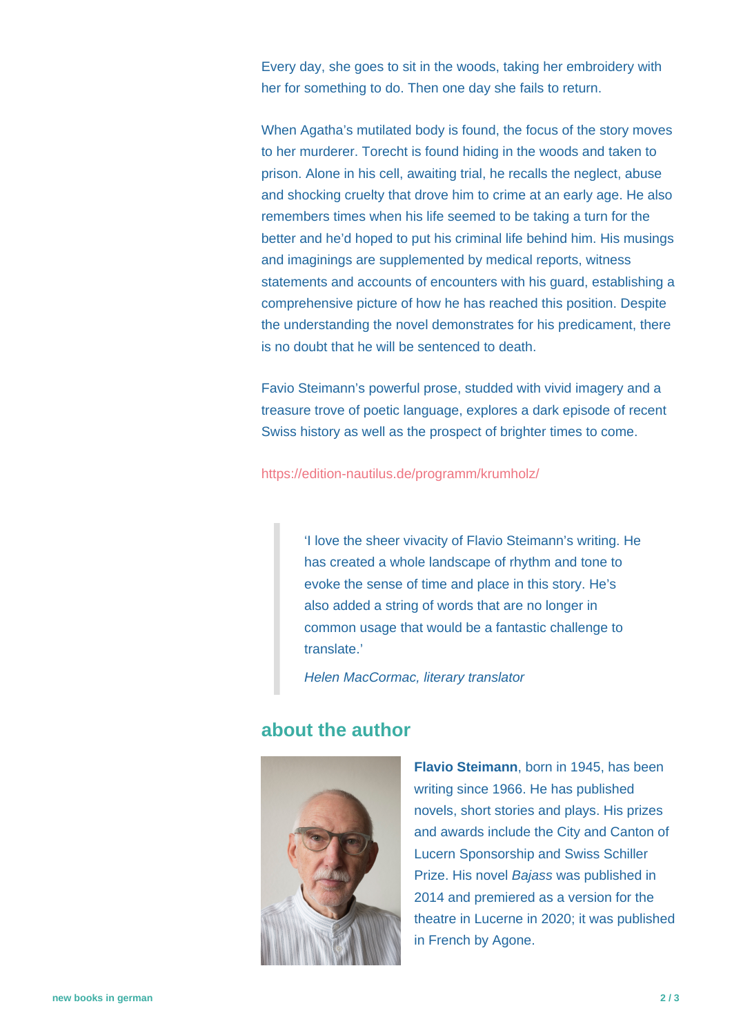Every day, she goes to sit in the woods, taking her embroidery with her for something to do. Then one day she fails to return.

When Agatha's mutilated body is found, the focus of the story moves to her murderer. Torecht is found hiding in the woods and taken to prison. Alone in his cell, awaiting trial, he recalls the neglect, abuse and shocking cruelty that drove him to crime at an early age. He also remembers times when his life seemed to be taking a turn for the better and he'd hoped to put his criminal life behind him. His musings and imaginings are supplemented by medical reports, witness statements and accounts of encounters with his guard, establishing a comprehensive picture of how he has reached this position. Despite the understanding the novel demonstrates for his predicament, there is no doubt that he will be sentenced to death.

Favio Steimann's powerful prose, studded with vivid imagery and a treasure trove of poetic language, explores a dark episode of recent Swiss history as well as the prospect of brighter times to come.

<https://edition-nautilus.de/programm/krumholz/>

'I love the sheer vivacity of Flavio Steimann's writing. He has created a whole landscape of rhythm and tone to evoke the sense of time and place in this story. He's also added a string of words that are no longer in common usage that would be a fantastic challenge to translate.'

Helen MacCormac, literary translator

#### **about the author**



**Flavio Steimann**, born in 1945, has been writing since 1966. He has published novels, short stories and plays. His prizes and awards include the City and Canton of Lucern Sponsorship and Swiss Schiller Prize. His novel Bajass was published in 2014 and premiered as a version for the theatre in Lucerne in 2020; it was published in French by Agone.